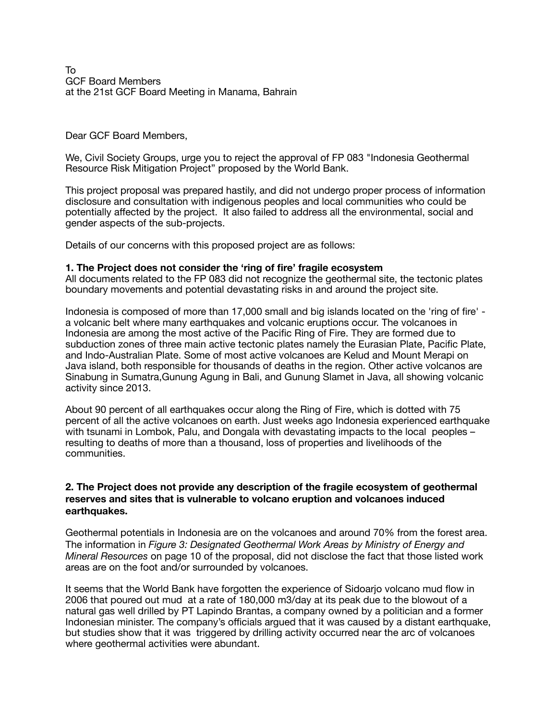To GCF Board Members at the 21st GCF Board Meeting in Manama, Bahrain

### Dear GCF Board Members,

We, Civil Society Groups, urge you to reject the approval of FP 083 "Indonesia Geothermal Resource Risk Mitigation Project" proposed by the World Bank.

This project proposal was prepared hastily, and did not undergo proper process of information disclosure and consultation with indigenous peoples and local communities who could be potentially affected by the project. It also failed to address all the environmental, social and gender aspects of the sub-projects.

Details of our concerns with this proposed project are as follows:

### **1. The Project does not consider the 'ring of fire' fragile ecosystem**

All documents related to the FP 083 did not recognize the geothermal site, the tectonic plates boundary movements and potential devastating risks in and around the project site.

Indonesia is composed of more than 17,000 small and big islands located on the 'ring of fire' a volcanic belt where many earthquakes and volcanic eruptions occur. The volcanoes in Indonesia are among the most active of the Pacific Ring of Fire. They are formed due to subduction zones of three main active tectonic plates namely the Eurasian Plate, Pacific Plate, and Indo-Australian Plate. Some of most active volcanoes are Kelud and Mount Merapi on Java island, both responsible for thousands of deaths in the region. Other active volcanos are Sinabung in Sumatra,Gunung Agung in Bali, and Gunung Slamet in Java, all showing volcanic activity since 2013.

About 90 percent of all earthquakes occur along the Ring of Fire, which is dotted with 75 percent of all the active volcanoes on earth. Just weeks ago Indonesia experienced earthquake with tsunami in Lombok, Palu, and Dongala with devastating impacts to the local peoples – resulting to deaths of more than a thousand, loss of properties and livelihoods of the communities.

### **2. The Project does not provide any description of the fragile ecosystem of geothermal reserves and sites that is vulnerable to volcano eruption and volcanoes induced earthquakes.**

Geothermal potentials in Indonesia are on the volcanoes and around 70% from the forest area. The information in *Figure 3: Designated Geothermal Work Areas by Ministry of Energy and Mineral Resources* on page 10 of the proposal, did not disclose the fact that those listed work areas are on the foot and/or surrounded by volcanoes.

It seems that the World Bank have forgotten the experience of Sidoarjo volcano mud flow in 2006 that poured out mud at a rate of 180,000 m3/day at its peak due to the blowout of a natural gas well drilled by PT Lapindo Brantas, a company owned by a politician and a former Indonesian minister. The company's officials argued that it was caused by a distant earthquake, but studies show that it was triggered by drilling activity occurred near the arc of volcanoes where geothermal activities were abundant.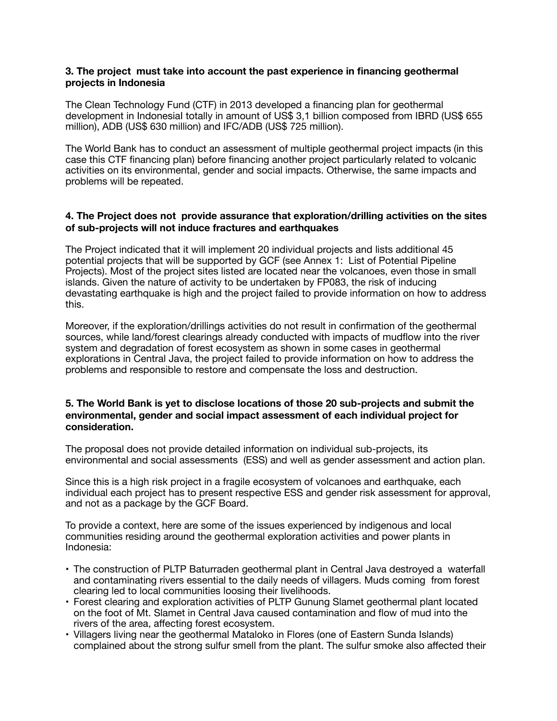### **3. The project must take into account the past experience in financing geothermal projects in Indonesia**

The Clean Technology Fund (CTF) in 2013 developed a financing plan for geothermal development in Indonesial totally in amount of US\$ 3,1 billion composed from IBRD (US\$ 655 million), ADB (US\$ 630 million) and IFC/ADB (US\$ 725 million).

The World Bank has to conduct an assessment of multiple geothermal project impacts (in this case this CTF financing plan) before financing another project particularly related to volcanic activities on its environmental, gender and social impacts. Otherwise, the same impacts and problems will be repeated.

# **4. The Project does not provide assurance that exploration/drilling activities on the sites of sub-projects will not induce fractures and earthquakes**

The Project indicated that it will implement 20 individual projects and lists additional 45 potential projects that will be supported by GCF (see Annex 1: List of Potential Pipeline Projects). Most of the project sites listed are located near the volcanoes, even those in small islands. Given the nature of activity to be undertaken by FP083, the risk of inducing devastating earthquake is high and the project failed to provide information on how to address this.

Moreover, if the exploration/drillings activities do not result in confirmation of the geothermal sources, while land/forest clearings already conducted with impacts of mudflow into the river system and degradation of forest ecosystem as shown in some cases in geothermal explorations in Central Java, the project failed to provide information on how to address the problems and responsible to restore and compensate the loss and destruction.

### **5. The World Bank is yet to disclose locations of those 20 sub-projects and submit the environmental, gender and social impact assessment of each individual project for consideration.**

The proposal does not provide detailed information on individual sub-projects, its environmental and social assessments (ESS) and well as gender assessment and action plan.

Since this is a high risk project in a fragile ecosystem of volcanoes and earthquake, each individual each project has to present respective ESS and gender risk assessment for approval, and not as a package by the GCF Board.

To provide a context, here are some of the issues experienced by indigenous and local communities residing around the geothermal exploration activities and power plants in Indonesia:

- The construction of PLTP Baturraden geothermal plant in Central Java destroyed a waterfall and contaminating rivers essential to the daily needs of villagers. Muds coming from forest clearing led to local communities loosing their livelihoods.
- Forest clearing and exploration activities of PLTP Gunung Slamet geothermal plant located on the foot of Mt. Slamet in Central Java caused contamination and flow of mud into the rivers of the area, affecting forest ecosystem.
- Villagers living near the geothermal Mataloko in Flores (one of Eastern Sunda Islands) complained about the strong sulfur smell from the plant. The sulfur smoke also affected their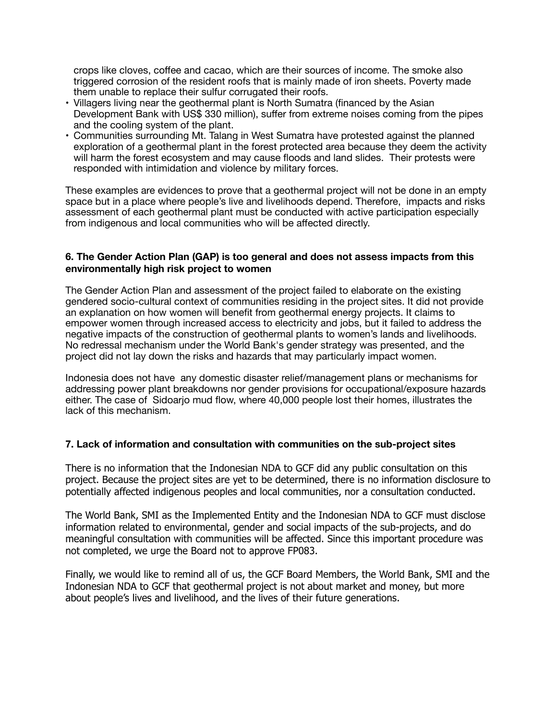crops like cloves, coffee and cacao, which are their sources of income. The smoke also triggered corrosion of the resident roofs that is mainly made of iron sheets. Poverty made them unable to replace their sulfur corrugated their roofs.

- Villagers living near the geothermal plant is North Sumatra (financed by the Asian Development Bank with US\$ 330 million), suffer from extreme noises coming from the pipes and the cooling system of the plant.
- Communities surrounding Mt. Talang in West Sumatra have protested against the planned exploration of a geothermal plant in the forest protected area because they deem the activity will harm the forest ecosystem and may cause floods and land slides. Their protests were responded with intimidation and violence by military forces.

These examples are evidences to prove that a geothermal project will not be done in an empty space but in a place where people's live and livelihoods depend. Therefore, impacts and risks assessment of each geothermal plant must be conducted with active participation especially from indigenous and local communities who will be affected directly.

## **6. The Gender Action Plan (GAP) is too general and does not assess impacts from this environmentally high risk project to women**

The Gender Action Plan and assessment of the project failed to elaborate on the existing gendered socio-cultural context of communities residing in the project sites. It did not provide an explanation on how women will benefit from geothermal energy projects. It claims to empower women through increased access to electricity and jobs, but it failed to address the negative impacts of the construction of geothermal plants to women's lands and livelihoods. No redressal mechanism under the World Bank's gender strategy was presented, and the project did not lay down the risks and hazards that may particularly impact women.

Indonesia does not have any domestic disaster relief/management plans or mechanisms for addressing power plant breakdowns nor gender provisions for occupational/exposure hazards either. The case of Sidoarjo mud flow, where 40,000 people lost their homes, illustrates the lack of this mechanism.

# **7. Lack of information and consultation with communities on the sub-project sites**

There is no information that the Indonesian NDA to GCF did any public consultation on this project. Because the project sites are yet to be determined, there is no information disclosure to potentially affected indigenous peoples and local communities, nor a consultation conducted.

The World Bank, SMI as the Implemented Entity and the Indonesian NDA to GCF must disclose information related to environmental, gender and social impacts of the sub-projects, and do meaningful consultation with communities will be affected. Since this important procedure was not completed, we urge the Board not to approve FP083.

Finally, we would like to remind all of us, the GCF Board Members, the World Bank, SMI and the Indonesian NDA to GCF that geothermal project is not about market and money, but more about people's lives and livelihood, and the lives of their future generations.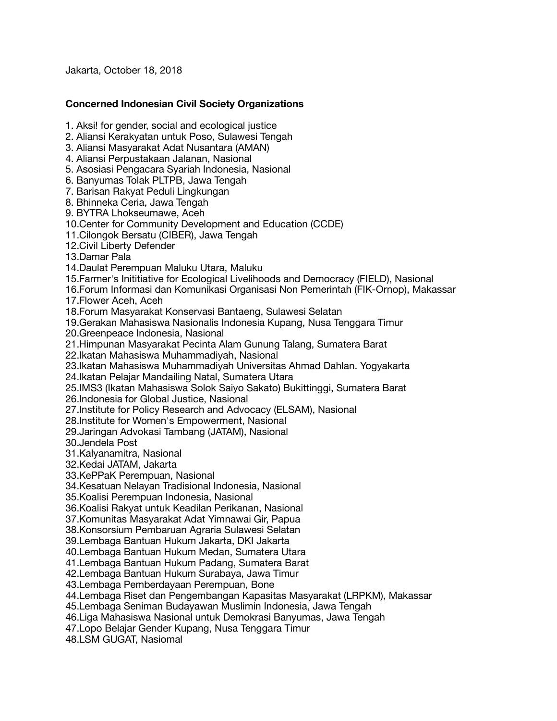Jakarta, October 18, 2018

## **Concerned Indonesian Civil Society Organizations**

1. Aksi! for gender, social and ecological justice

- 2. Aliansi Kerakyatan untuk Poso, Sulawesi Tengah
- 3. Aliansi Masyarakat Adat Nusantara (AMAN)
- 4. Aliansi Perpustakaan Jalanan, Nasional

5. Asosiasi Pengacara Syariah Indonesia, Nasional

6. Banyumas Tolak PLTPB, Jawa Tengah

7. Barisan Rakyat Peduli Lingkungan

8. Bhinneka Ceria, Jawa Tengah

9. BYTRA Lhokseumawe, Aceh

10.Center for Community Development and Education (CCDE)

11.Cilongok Bersatu (CIBER), Jawa Tengah

12.Civil Liberty Defender

13.Damar Pala

14.Daulat Perempuan Maluku Utara, Maluku

15.Farmer's Inititiative for Ecological Livelihoods and Democracy (FIELD), Nasional

16.Forum Informasi dan Komunikasi Organisasi Non Pemerintah (FIK-Ornop), Makassar

17.Flower Aceh, Aceh

18.Forum Masyarakat Konservasi Bantaeng, Sulawesi Selatan

19.Gerakan Mahasiswa Nasionalis Indonesia Kupang, Nusa Tenggara Timur 20.Greenpeace Indonesia, Nasional

21.Himpunan Masyarakat Pecinta Alam Gunung Talang, Sumatera Barat

22.Ikatan Mahasiswa Muhammadiyah, Nasional

23.Ikatan Mahasiswa Muhammadiyah Universitas Ahmad Dahlan. Yogyakarta

24.Ikatan Pelajar Mandailing Natal, Sumatera Utara

25.IMS3 (Ikatan Mahasiswa Solok Saiyo Sakato) Bukittinggi, Sumatera Barat

26.Indonesia for Global Justice, Nasional

27.Institute for Policy Research and Advocacy (ELSAM), Nasional

28.Institute for Women's Empowerment, Nasional

29.Jaringan Advokasi Tambang (JATAM), Nasional

30.Jendela Post

31.Kalyanamitra, Nasional

32.Kedai JATAM, Jakarta

33.KePPaK Perempuan, Nasional

34.Kesatuan Nelayan Tradisional Indonesia, Nasional

35.Koalisi Perempuan Indonesia, Nasional

36.Koalisi Rakyat untuk Keadilan Perikanan, Nasional

37.Komunitas Masyarakat Adat Yimnawai Gir, Papua

38.Konsorsium Pembaruan Agraria Sulawesi Selatan

39.Lembaga Bantuan Hukum Jakarta, DKI Jakarta

40.Lembaga Bantuan Hukum Medan, Sumatera Utara

41.Lembaga Bantuan Hukum Padang, Sumatera Barat

42.Lembaga Bantuan Hukum Surabaya, Jawa Timur

43.Lembaga Pemberdayaan Perempuan, Bone

44.Lembaga Riset dan Pengembangan Kapasitas Masyarakat (LRPKM), Makassar

45.Lembaga Seniman Budayawan Muslimin Indonesia, Jawa Tengah

46.Liga Mahasiswa Nasional untuk Demokrasi Banyumas, Jawa Tengah

47.Lopo Belajar Gender Kupang, Nusa Tenggara Timur

48.LSM GUGAT, Nasiomal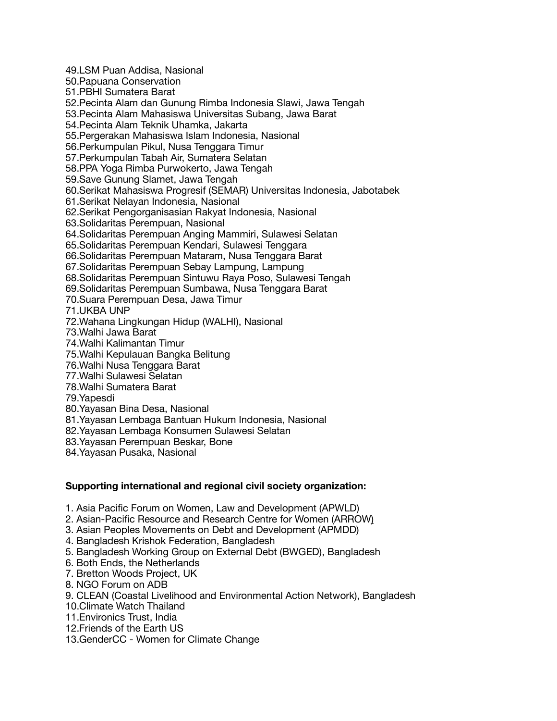49.LSM Puan Addisa, Nasional 50.Papuana Conservation 51.PBHI Sumatera Barat 52.Pecinta Alam dan Gunung Rimba Indonesia Slawi, Jawa Tengah 53.Pecinta Alam Mahasiswa Universitas Subang, Jawa Barat 54.Pecinta Alam Teknik Uhamka, Jakarta 55.Pergerakan Mahasiswa Islam Indonesia, Nasional 56.Perkumpulan Pikul, Nusa Tenggara Timur 57.Perkumpulan Tabah Air, Sumatera Selatan 58.PPA Yoga Rimba Purwokerto, Jawa Tengah 59.Save Gunung Slamet, Jawa Tengah 60.Serikat Mahasiswa Progresif (SEMAR) Universitas Indonesia, Jabotabek 61.Serikat Nelayan Indonesia, Nasional 62.Serikat Pengorganisasian Rakyat Indonesia, Nasional 63.Solidaritas Perempuan, Nasional 64.Solidaritas Perempuan Anging Mammiri, Sulawesi Selatan 65.Solidaritas Perempuan Kendari, Sulawesi Tenggara 66.Solidaritas Perempuan Mataram, Nusa Tenggara Barat 67.Solidaritas Perempuan Sebay Lampung, Lampung 68.Solidaritas Perempuan Sintuwu Raya Poso, Sulawesi Tengah 69.Solidaritas Perempuan Sumbawa, Nusa Tenggara Barat 70.Suara Perempuan Desa, Jawa Timur 71.UKBA UNP 72.Wahana Lingkungan Hidup (WALHI), Nasional 73.Walhi Jawa Barat 74.Walhi Kalimantan Timur 75.Walhi Kepulauan Bangka Belitung 76.Walhi Nusa Tenggara Barat 77.Walhi Sulawesi Selatan 78.Walhi Sumatera Barat 79.Yapesdi 80.Yayasan Bina Desa, Nasional 81.Yayasan Lembaga Bantuan Hukum Indonesia, Nasional 82.Yayasan Lembaga Konsumen Sulawesi Selatan 83.Yayasan Perempuan Beskar, Bone

84.Yayasan Pusaka, Nasional

# **Supporting international and regional civil society organization:**

- 1. Asia Pacific Forum on Women, Law and Development (APWLD)
- 2. Asian-Pacific Resource and Research Centre for Women (ARROW)
- 3. Asian Peoples Movements on Debt and Development (APMDD)
- 4. Bangladesh Krishok Federation, Bangladesh
- 5. Bangladesh Working Group on External Debt (BWGED), Bangladesh
- 6. Both Ends, the Netherlands
- 7. Bretton Woods Project, UK
- 8. NGO Forum on ADB
- 9. CLEAN (Coastal Livelihood and Environmental Action Network), Bangladesh
- 10.Climate Watch Thailand
- 11.Environics Trust, India
- 12.Friends of the Earth US
- 13.GenderCC Women for Climate Change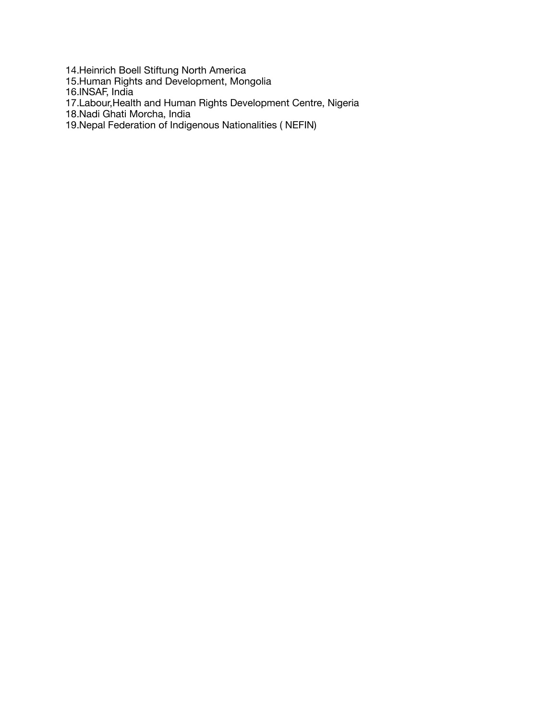14.Heinrich Boell Stiftung North America

15.Human Rights and Development, Mongolia

16.INSAF, India

17.Labour,Health and Human Rights Development Centre, Nigeria

18.Nadi Ghati Morcha, India

19.Nepal Federation of Indigenous Nationalities ( NEFIN)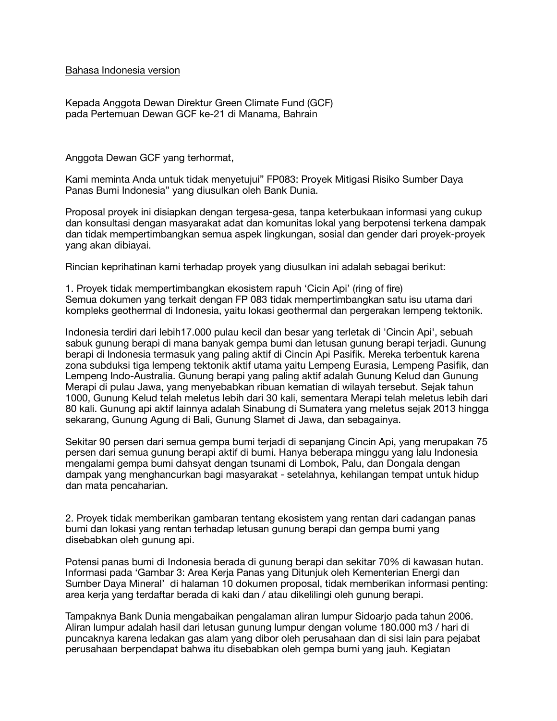Bahasa Indonesia version

Kepada Anggota Dewan Direktur Green Climate Fund (GCF) pada Pertemuan Dewan GCF ke-21 di Manama, Bahrain

Anggota Dewan GCF yang terhormat,

Kami meminta Anda untuk tidak menyetujui" FP083: Proyek Mitigasi Risiko Sumber Daya Panas Bumi Indonesia" yang diusulkan oleh Bank Dunia.

Proposal proyek ini disiapkan dengan tergesa-gesa, tanpa keterbukaan informasi yang cukup dan konsultasi dengan masyarakat adat dan komunitas lokal yang berpotensi terkena dampak dan tidak mempertimbangkan semua aspek lingkungan, sosial dan gender dari proyek-proyek yang akan dibiayai.

Rincian keprihatinan kami terhadap proyek yang diusulkan ini adalah sebagai berikut:

1. Proyek tidak mempertimbangkan ekosistem rapuh 'Cicin Api' (ring of fire) Semua dokumen yang terkait dengan FP 083 tidak mempertimbangkan satu isu utama dari kompleks geothermal di Indonesia, yaitu lokasi geothermal dan pergerakan lempeng tektonik.

Indonesia terdiri dari lebih17.000 pulau kecil dan besar yang terletak di 'Cincin Api', sebuah sabuk gunung berapi di mana banyak gempa bumi dan letusan gunung berapi terjadi. Gunung berapi di Indonesia termasuk yang paling aktif di Cincin Api Pasifik. Mereka terbentuk karena zona subduksi tiga lempeng tektonik aktif utama yaitu Lempeng Eurasia, Lempeng Pasifik, dan Lempeng Indo-Australia. Gunung berapi yang paling aktif adalah Gunung Kelud dan Gunung Merapi di pulau Jawa, yang menyebabkan ribuan kematian di wilayah tersebut. Sejak tahun 1000, Gunung Kelud telah meletus lebih dari 30 kali, sementara Merapi telah meletus lebih dari 80 kali. Gunung api aktif lainnya adalah Sinabung di Sumatera yang meletus sejak 2013 hingga sekarang, Gunung Agung di Bali, Gunung Slamet di Jawa, dan sebagainya.

Sekitar 90 persen dari semua gempa bumi terjadi di sepanjang Cincin Api, yang merupakan 75 persen dari semua gunung berapi aktif di bumi. Hanya beberapa minggu yang lalu Indonesia mengalami gempa bumi dahsyat dengan tsunami di Lombok, Palu, dan Dongala dengan dampak yang menghancurkan bagi masyarakat - setelahnya, kehilangan tempat untuk hidup dan mata pencaharian.

2. Proyek tidak memberikan gambaran tentang ekosistem yang rentan dari cadangan panas bumi dan lokasi yang rentan terhadap letusan gunung berapi dan gempa bumi yang disebabkan oleh gunung api.

Potensi panas bumi di Indonesia berada di gunung berapi dan sekitar 70% di kawasan hutan. Informasi pada 'Gambar 3: Area Kerja Panas yang Ditunjuk oleh Kementerian Energi dan Sumber Daya Mineral' di halaman 10 dokumen proposal, tidak memberikan informasi penting: area kerja yang terdaftar berada di kaki dan / atau dikelilingi oleh gunung berapi.

Tampaknya Bank Dunia mengabaikan pengalaman aliran lumpur Sidoarjo pada tahun 2006. Aliran lumpur adalah hasil dari letusan gunung lumpur dengan volume 180.000 m3 / hari di puncaknya karena ledakan gas alam yang dibor oleh perusahaan dan di sisi lain para pejabat perusahaan berpendapat bahwa itu disebabkan oleh gempa bumi yang jauh. Kegiatan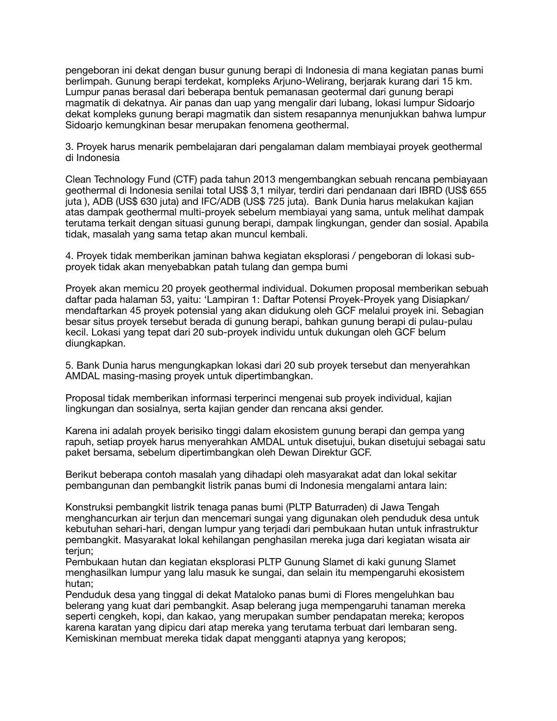pengeboran ini dekat dengan busur gunung berapi di Indonesia di mana kegiatan panas bumi berlimpah. Gunung berapi terdekat, kompleks Arjuno-Welirang, berjarak kurang dari 15 km. Lumpur panas berasal dari beberapa bentuk pemanasan geotermal dari gunung berapi magmatik di dekatnya. Air panas dan uap yang mengalir dari lubang, lokasi lumpur Sidoarjo dekat kompleks gunung berapi magmatik dan sistem resapannya menunjukkan bahwa lumpur Sidoarjo kemungkinan besar merupakan fenomena geothermal.

3. Proyek harus menarik pembelajaran dari pengalaman dalam membiayai proyek geothermal di Indonesia

Clean Technology Fund (CTF) pada tahun 2013 mengembangkan sebuah rencana pembiayaan geothermal di Indonesia senilai total US\$ 3,1 milyar, terdiri dari pendanaan dari IBRD (US\$ 655 juta ), ADB (US\$ 630 juta) and IFC/ADB (US\$ 725 juta). Bank Dunia harus melakukan kajian atas dampak geothermal multi-proyek sebelum membiayai yang sama, untuk melihat dampak terutama terkait dengan situasi gunung berapi, dampak lingkungan, gender dan sosial. Apabila tidak, masalah yang sama tetap akan muncul kembali.

4. Proyek tidak memberikan jaminan bahwa kegiatan eksplorasi / pengeboran di lokasi subproyek tidak akan menyebabkan patah tulang dan gempa bumi

Proyek akan memicu 20 proyek geothermal individual. Dokumen proposal memberikan sebuah daftar pada halaman 53, yaitu: 'Lampiran 1: Daftar Potensi Proyek-Proyek yang Disiapkan/ mendaftarkan 45 proyek potensial yang akan didukung oleh GCF melalui proyek ini. Sebagian besar situs proyek tersebut berada di gunung berapi, bahkan gunung berapi di pulau-pulau kecil. Lokasi yang tepat dari 20 sub-proyek individu untuk dukungan oleh GCF belum diungkapkan.

5. Bank Dunia harus mengungkapkan lokasi dari 20 sub proyek tersebut dan menyerahkan AMDAL masing-masing proyek untuk dipertimbangkan.

Proposal tidak memberikan informasi terperinci mengenai sub proyek individual, kajian lingkungan dan sosialnya, serta kajian gender dan rencana aksi gender.

Karena ini adalah proyek berisiko tinggi dalam ekosistem gunung berapi dan gempa yang rapuh, setiap proyek harus menyerahkan AMDAL untuk disetujui, bukan disetujui sebagai satu paket bersama, sebelum dipertimbangkan oleh Dewan Direktur GCF.

Berikut beberapa contoh masalah yang dihadapi oleh masyarakat adat dan lokal sekitar pembangunan dan pembangkit listrik panas bumi di Indonesia mengalami antara lain:

Konstruksi pembangkit listrik tenaga panas bumi (PLTP Baturraden) di Jawa Tengah menghancurkan air terjun dan mencemari sungai yang digunakan oleh penduduk desa untuk kebutuhan sehari-hari, dengan lumpur yang terjadi dari pembukaan hutan untuk infrastruktur pembangkit. Masyarakat lokal kehilangan penghasilan mereka juga dari kegiatan wisata air teriun:

Pembukaan hutan dan kegiatan eksplorasi PLTP Gunung Slamet di kaki gunung Slamet menghasilkan lumpur yang lalu masuk ke sungai, dan selain itu mempengaruhi ekosistem hutan;

Penduduk desa yang tinggal di dekat Mataloko panas bumi di Flores mengeluhkan bau belerang yang kuat dari pembangkit. Asap belerang juga mempengaruhi tanaman mereka seperti cengkeh, kopi, dan kakao, yang merupakan sumber pendapatan mereka; keropos karena karatan yang dipicu dari atap mereka yang terutama terbuat dari lembaran seng. Kemiskinan membuat mereka tidak dapat mengganti atapnya yang keropos;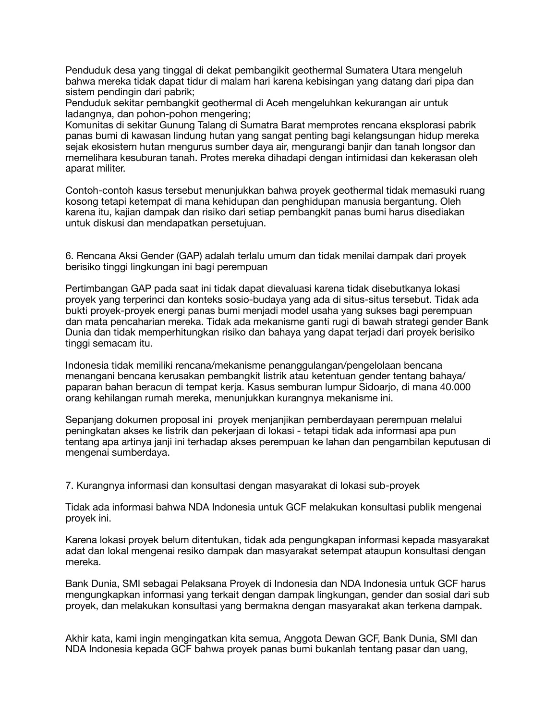Penduduk desa yang tinggal di dekat pembangikit geothermal Sumatera Utara mengeluh bahwa mereka tidak dapat tidur di malam hari karena kebisingan yang datang dari pipa dan sistem pendingin dari pabrik;

Penduduk sekitar pembangkit geothermal di Aceh mengeluhkan kekurangan air untuk ladangnya, dan pohon-pohon mengering;

Komunitas di sekitar Gunung Talang di Sumatra Barat memprotes rencana eksplorasi pabrik panas bumi di kawasan lindung hutan yang sangat penting bagi kelangsungan hidup mereka sejak ekosistem hutan mengurus sumber daya air, mengurangi banjir dan tanah longsor dan memelihara kesuburan tanah. Protes mereka dihadapi dengan intimidasi dan kekerasan oleh aparat militer.

Contoh-contoh kasus tersebut menunjukkan bahwa proyek geothermal tidak memasuki ruang kosong tetapi ketempat di mana kehidupan dan penghidupan manusia bergantung. Oleh karena itu, kajian dampak dan risiko dari setiap pembangkit panas bumi harus disediakan untuk diskusi dan mendapatkan persetujuan.

6. Rencana Aksi Gender (GAP) adalah terlalu umum dan tidak menilai dampak dari proyek berisiko tinggi lingkungan ini bagi perempuan

Pertimbangan GAP pada saat ini tidak dapat dievaluasi karena tidak disebutkanya lokasi proyek yang terperinci dan konteks sosio-budaya yang ada di situs-situs tersebut. Tidak ada bukti proyek-proyek energi panas bumi menjadi model usaha yang sukses bagi perempuan dan mata pencaharian mereka. Tidak ada mekanisme ganti rugi di bawah strategi gender Bank Dunia dan tidak memperhitungkan risiko dan bahaya yang dapat terjadi dari proyek berisiko tinggi semacam itu.

Indonesia tidak memiliki rencana/mekanisme penanggulangan/pengelolaan bencana menangani bencana kerusakan pembangkit listrik atau ketentuan gender tentang bahaya/ paparan bahan beracun di tempat kerja. Kasus semburan lumpur Sidoarjo, di mana 40.000 orang kehilangan rumah mereka, menunjukkan kurangnya mekanisme ini.

Sepanjang dokumen proposal ini proyek menjanjikan pemberdayaan perempuan melalui peningkatan akses ke listrik dan pekerjaan di lokasi - tetapi tidak ada informasi apa pun tentang apa artinya janji ini terhadap akses perempuan ke lahan dan pengambilan keputusan di mengenai sumberdaya.

7. Kurangnya informasi dan konsultasi dengan masyarakat di lokasi sub-proyek

Tidak ada informasi bahwa NDA Indonesia untuk GCF melakukan konsultasi publik mengenai proyek ini.

Karena lokasi proyek belum ditentukan, tidak ada pengungkapan informasi kepada masyarakat adat dan lokal mengenai resiko dampak dan masyarakat setempat ataupun konsultasi dengan mereka.

Bank Dunia, SMI sebagai Pelaksana Proyek di Indonesia dan NDA Indonesia untuk GCF harus mengungkapkan informasi yang terkait dengan dampak lingkungan, gender dan sosial dari sub proyek, dan melakukan konsultasi yang bermakna dengan masyarakat akan terkena dampak.

Akhir kata, kami ingin mengingatkan kita semua, Anggota Dewan GCF, Bank Dunia, SMI dan NDA Indonesia kepada GCF bahwa proyek panas bumi bukanlah tentang pasar dan uang,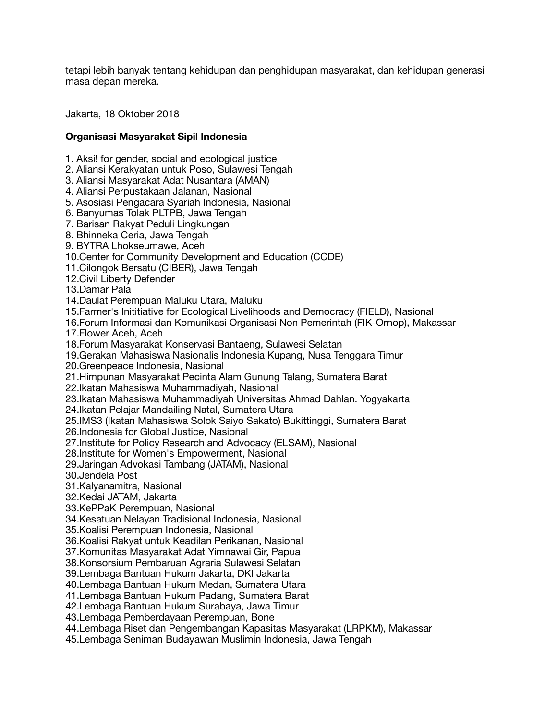tetapi lebih banyak tentang kehidupan dan penghidupan masyarakat, dan kehidupan generasi masa depan mereka.

Jakarta, 18 Oktober 2018

## **Organisasi Masyarakat Sipil Indonesia**

1. Aksi! for gender, social and ecological justice

2. Aliansi Kerakyatan untuk Poso, Sulawesi Tengah

3. Aliansi Masyarakat Adat Nusantara (AMAN)

4. Aliansi Perpustakaan Jalanan, Nasional

5. Asosiasi Pengacara Syariah Indonesia, Nasional

6. Banyumas Tolak PLTPB, Jawa Tengah

7. Barisan Rakyat Peduli Lingkungan

8. Bhinneka Ceria, Jawa Tengah

9. BYTRA Lhokseumawe, Aceh

10.Center for Community Development and Education (CCDE)

11.Cilongok Bersatu (CIBER), Jawa Tengah

12.Civil Liberty Defender

13.Damar Pala

14.Daulat Perempuan Maluku Utara, Maluku

15.Farmer's Inititiative for Ecological Livelihoods and Democracy (FIELD), Nasional

16.Forum Informasi dan Komunikasi Organisasi Non Pemerintah (FIK-Ornop), Makassar

17.Flower Aceh, Aceh

18.Forum Masyarakat Konservasi Bantaeng, Sulawesi Selatan

19.Gerakan Mahasiswa Nasionalis Indonesia Kupang, Nusa Tenggara Timur

20.Greenpeace Indonesia, Nasional

21.Himpunan Masyarakat Pecinta Alam Gunung Talang, Sumatera Barat

22.Ikatan Mahasiswa Muhammadiyah, Nasional

23.Ikatan Mahasiswa Muhammadiyah Universitas Ahmad Dahlan. Yogyakarta

24.Ikatan Pelajar Mandailing Natal, Sumatera Utara

25.IMS3 (Ikatan Mahasiswa Solok Saiyo Sakato) Bukittinggi, Sumatera Barat

26.Indonesia for Global Justice, Nasional

27.Institute for Policy Research and Advocacy (ELSAM), Nasional

28.Institute for Women's Empowerment, Nasional

29.Jaringan Advokasi Tambang (JATAM), Nasional

30.Jendela Post

31.Kalyanamitra, Nasional

32.Kedai JATAM, Jakarta

33.KePPaK Perempuan, Nasional

34.Kesatuan Nelayan Tradisional Indonesia, Nasional

35.Koalisi Perempuan Indonesia, Nasional

36.Koalisi Rakyat untuk Keadilan Perikanan, Nasional

37.Komunitas Masyarakat Adat Yimnawai Gir, Papua

38.Konsorsium Pembaruan Agraria Sulawesi Selatan

39.Lembaga Bantuan Hukum Jakarta, DKI Jakarta

40.Lembaga Bantuan Hukum Medan, Sumatera Utara

41.Lembaga Bantuan Hukum Padang, Sumatera Barat

42.Lembaga Bantuan Hukum Surabaya, Jawa Timur

43.Lembaga Pemberdayaan Perempuan, Bone

44.Lembaga Riset dan Pengembangan Kapasitas Masyarakat (LRPKM), Makassar

45.Lembaga Seniman Budayawan Muslimin Indonesia, Jawa Tengah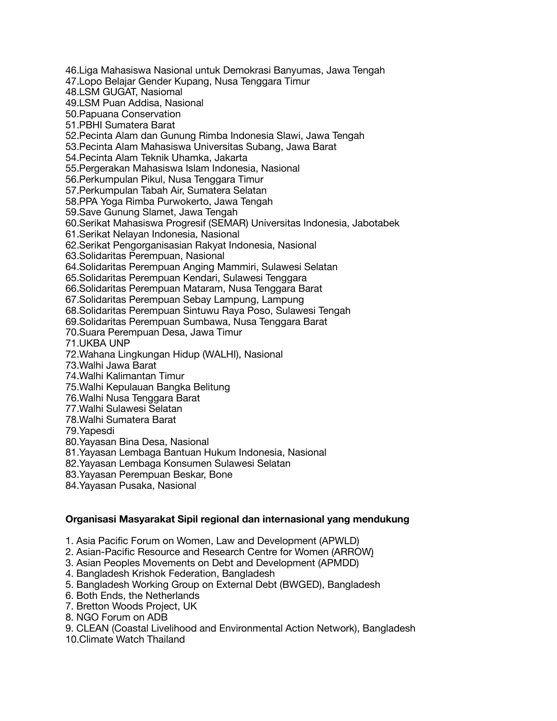46.Liga Mahasiswa Nasional untuk Demokrasi Banyumas, Jawa Tengah 47.Lopo Belajar Gender Kupang, Nusa Tenggara Timur 48.LSM GUGAT, Nasiomal 49.LSM Puan Addisa, Nasional 50.Papuana Conservation 51.PBHI Sumatera Barat 52.Pecinta Alam dan Gunung Rimba Indonesia Slawi, Jawa Tengah 53.Pecinta Alam Mahasiswa Universitas Subang, Jawa Barat 54.Pecinta Alam Teknik Uhamka, Jakarta 55.Pergerakan Mahasiswa Islam Indonesia, Nasional 56.Perkumpulan Pikul, Nusa Tenggara Timur 57.Perkumpulan Tabah Air, Sumatera Selatan 58.PPA Yoga Rimba Purwokerto, Jawa Tengah 59.Save Gunung Slamet, Jawa Tengah 60.Serikat Mahasiswa Progresif (SEMAR) Universitas Indonesia, Jabotabek 61.Serikat Nelayan Indonesia, Nasional 62.Serikat Pengorganisasian Rakyat Indonesia, Nasional 63.Solidaritas Perempuan, Nasional 64.Solidaritas Perempuan Anging Mammiri, Sulawesi Selatan 65.Solidaritas Perempuan Kendari, Sulawesi Tenggara 66.Solidaritas Perempuan Mataram, Nusa Tenggara Barat 67.Solidaritas Perempuan Sebay Lampung, Lampung 68.Solidaritas Perempuan Sintuwu Raya Poso, Sulawesi Tengah 69.Solidaritas Perempuan Sumbawa, Nusa Tenggara Barat 70.Suara Perempuan Desa, Jawa Timur 71.UKBA UNP 72.Wahana Lingkungan Hidup (WALHI), Nasional 73.Walhi Jawa Barat 74.Walhi Kalimantan Timur 75.Walhi Kepulauan Bangka Belitung 76.Walhi Nusa Tenggara Barat 77.Walhi Sulawesi Selatan 78.Walhi Sumatera Barat 79.Yapesdi 80.Yayasan Bina Desa, Nasional 81.Yayasan Lembaga Bantuan Hukum Indonesia, Nasional 82.Yayasan Lembaga Konsumen Sulawesi Selatan 83.Yayasan Perempuan Beskar, Bone

84.Yayasan Pusaka, Nasional

### **Organisasi Masyarakat Sipil regional dan internasional yang mendukung**

1. Asia Pacific Forum on Women, Law and Development (APWLD)

2. Asian-Pacific Resource and Research Centre for Women (ARROW)

3. Asian Peoples Movements on Debt and Development (APMDD)

4. Bangladesh Krishok Federation, Bangladesh

5. Bangladesh Working Group on External Debt (BWGED), Bangladesh

6. Both Ends, the Netherlands

7. Bretton Woods Project, UK

8. NGO Forum on ADB

9. CLEAN (Coastal Livelihood and Environmental Action Network), Bangladesh

10.Climate Watch Thailand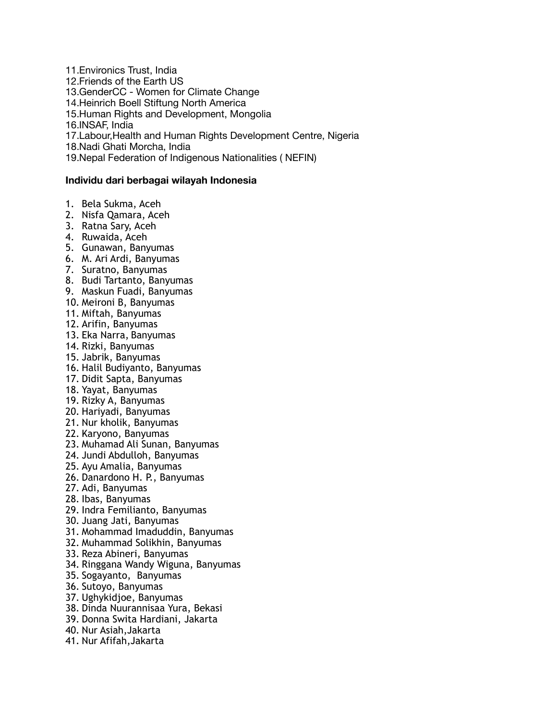11.Environics Trust, India 12.Friends of the Earth US 13.GenderCC - Women for Climate Change 14.Heinrich Boell Stiftung North America 15.Human Rights and Development, Mongolia 16.INSAF, India 17.Labour,Health and Human Rights Development Centre, Nigeria 18.Nadi Ghati Morcha, India 19.Nepal Federation of Indigenous Nationalities ( NEFIN)

### **Individu dari berbagai wilayah Indonesia**

- 1. Bela Sukma, Aceh
- 2. Nisfa Qamara, Aceh
- 3. Ratna Sary, Aceh
- 4. Ruwaida, Aceh
- 5. Gunawan, Banyumas
- 6. M. Ari Ardi, Banyumas
- 7. Suratno, Banyumas
- 8. Budi Tartanto, Banyumas
- 9. Maskun Fuadi, Banyumas
- 10. Meironi B, Banyumas
- 11. Miftah, Banyumas
- 12. Arifin, Banyumas
- 13. Eka Narra, Banyumas
- 14. Rizki, Banyumas
- 15. Jabrik, Banyumas
- 16. Halil Budiyanto, Banyumas
- 17. Didit Sapta, Banyumas
- 18. Yayat, Banyumas
- 19. Rizky A, Banyumas
- 20. Hariyadi, Banyumas
- 21. Nur kholik, Banyumas
- 22. Karyono, Banyumas
- 23. Muhamad Ali Sunan, Banyumas
- 24. Jundi Abdulloh, Banyumas
- 25. Ayu Amalia, Banyumas
- 26. Danardono H. P., Banyumas
- 27. Adi, Banyumas
- 28. Ibas, Banyumas
- 29. Indra Femilianto, Banyumas
- 30. Juang Jati, Banyumas
- 31. Mohammad Imaduddin, Banyumas
- 32. Muhammad Solikhin, Banyumas
- 33. Reza Abineri, Banyumas
- 34. Ringgana Wandy Wiguna, Banyumas
- 35. Sogayanto, Banyumas
- 36. Sutoyo, Banyumas
- 37. Ughykidjoe, Banyumas
- 38. Dinda Nuurannisaa Yura, Bekasi
- 39. Donna Swita Hardiani, Jakarta
- 40. Nur Asiah,Jakarta
- 41. Nur Afifah,Jakarta